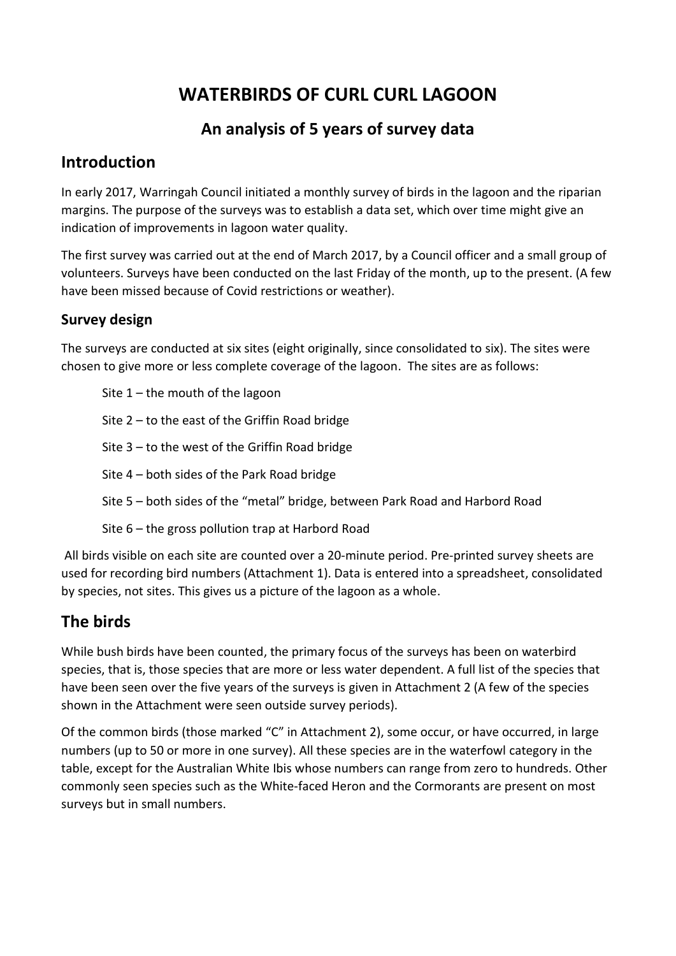# **WATERBIRDS OF CURL CURL LAGOON**

# **An analysis of 5 years of survey data**

# **Introduction**

In early 2017, Warringah Council initiated a monthly survey of birds in the lagoon and the riparian margins. The purpose of the surveys was to establish a data set, which over time might give an indication of improvements in lagoon water quality.

The first survey was carried out at the end of March 2017, by a Council officer and a small group of volunteers. Surveys have been conducted on the last Friday of the month, up to the present. (A few have been missed because of Covid restrictions or weather).

## **Survey design**

The surveys are conducted at six sites (eight originally, since consolidated to six). The sites were chosen to give more or less complete coverage of the lagoon. The sites are as follows:

- Site 1 the mouth of the lagoon
- Site 2 to the east of the Griffin Road bridge
- Site 3 to the west of the Griffin Road bridge
- Site 4 both sides of the Park Road bridge
- Site 5 both sides of the "metal" bridge, between Park Road and Harbord Road
- Site 6 the gross pollution trap at Harbord Road

All birds visible on each site are counted over a 20-minute period. Pre-printed survey sheets are used for recording bird numbers (Attachment 1). Data is entered into a spreadsheet, consolidated by species, not sites. This gives us a picture of the lagoon as a whole.

# **The birds**

While bush birds have been counted, the primary focus of the surveys has been on waterbird species, that is, those species that are more or less water dependent. A full list of the species that have been seen over the five years of the surveys is given in Attachment 2 (A few of the species shown in the Attachment were seen outside survey periods).

Of the common birds (those marked "C" in Attachment 2), some occur, or have occurred, in large numbers (up to 50 or more in one survey). All these species are in the waterfowl category in the table, except for the Australian White Ibis whose numbers can range from zero to hundreds. Other commonly seen species such as the White-faced Heron and the Cormorants are present on most surveys but in small numbers.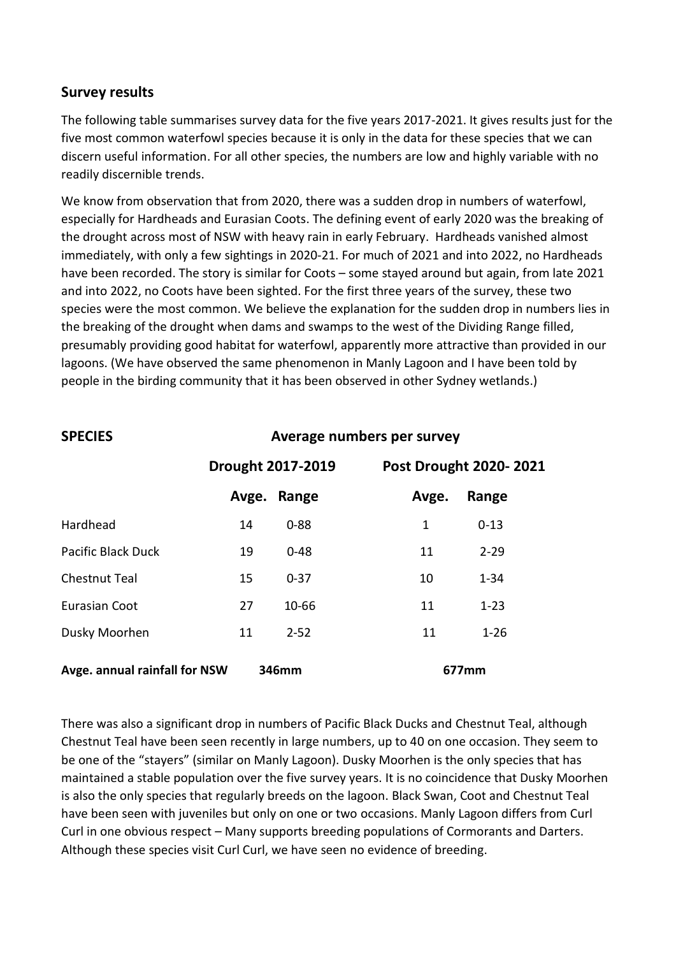#### **Survey results**

The following table summarises survey data for the five years 2017-2021. It gives results just for the five most common waterfowl species because it is only in the data for these species that we can discern useful information. For all other species, the numbers are low and highly variable with no readily discernible trends.

We know from observation that from 2020, there was a sudden drop in numbers of waterfowl, especially for Hardheads and Eurasian Coots. The defining event of early 2020 was the breaking of the drought across most of NSW with heavy rain in early February. Hardheads vanished almost immediately, with only a few sightings in 2020-21. For much of 2021 and into 2022, no Hardheads have been recorded. The story is similar for Coots – some stayed around but again, from late 2021 and into 2022, no Coots have been sighted. For the first three years of the survey, these two species were the most common. We believe the explanation for the sudden drop in numbers lies in the breaking of the drought when dams and swamps to the west of the Dividing Range filled, presumably providing good habitat for waterfowl, apparently more attractive than provided in our lagoons. (We have observed the same phenomenon in Manly Lagoon and I have been told by people in the birding community that it has been observed in other Sydney wetlands.)

| <b>SPECIES</b>                | Average numbers per survey |                          |       |                               |  |  |  |
|-------------------------------|----------------------------|--------------------------|-------|-------------------------------|--|--|--|
|                               |                            | <b>Drought 2017-2019</b> |       | <b>Post Drought 2020-2021</b> |  |  |  |
|                               | Avge.                      | Range                    | Avge. | Range                         |  |  |  |
| Hardhead                      | 14                         | $0 - 88$                 | 1     | $0 - 13$                      |  |  |  |
| Pacific Black Duck            | 19                         | $0 - 48$                 | 11    | $2 - 29$                      |  |  |  |
| <b>Chestnut Teal</b>          | 15                         | $0 - 37$                 | 10    | $1 - 34$                      |  |  |  |
| <b>Eurasian Coot</b>          | 27                         | $10 - 66$                | 11    | $1 - 23$                      |  |  |  |
| Dusky Moorhen                 | 11                         | $2 - 52$                 | 11    | $1 - 26$                      |  |  |  |
| Avge. annual rainfall for NSW | 346mm                      |                          |       | 677mm                         |  |  |  |

There was also a significant drop in numbers of Pacific Black Ducks and Chestnut Teal, although Chestnut Teal have been seen recently in large numbers, up to 40 on one occasion. They seem to be one of the "stayers" (similar on Manly Lagoon). Dusky Moorhen is the only species that has maintained a stable population over the five survey years. It is no coincidence that Dusky Moorhen is also the only species that regularly breeds on the lagoon. Black Swan, Coot and Chestnut Teal have been seen with juveniles but only on one or two occasions. Manly Lagoon differs from Curl Curl in one obvious respect – Many supports breeding populations of Cormorants and Darters. Although these species visit Curl Curl, we have seen no evidence of breeding.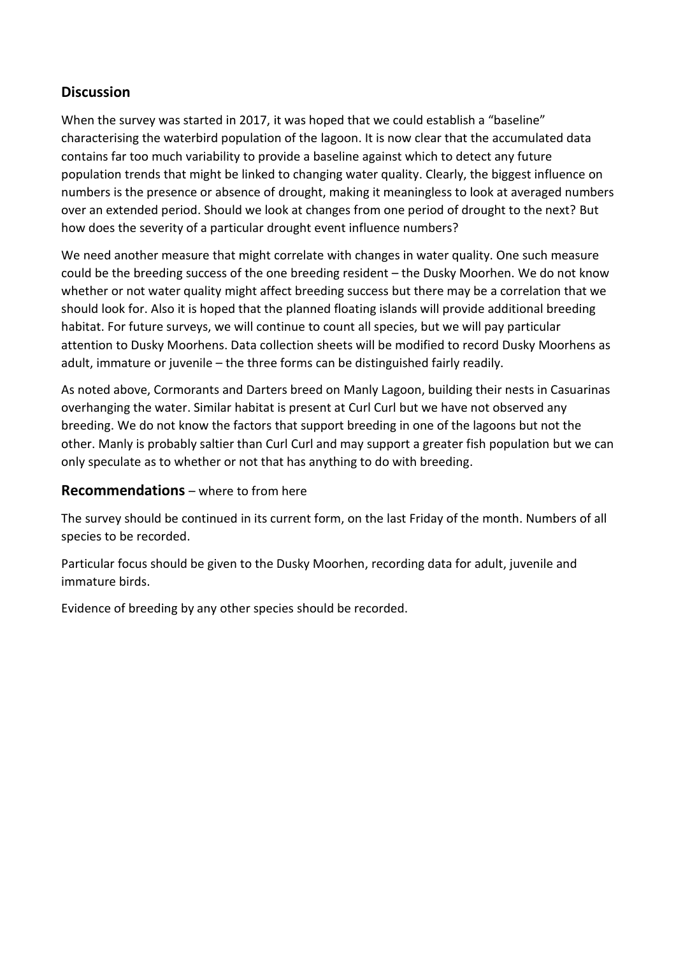## **Discussion**

When the survey was started in 2017, it was hoped that we could establish a "baseline" characterising the waterbird population of the lagoon. It is now clear that the accumulated data contains far too much variability to provide a baseline against which to detect any future population trends that might be linked to changing water quality. Clearly, the biggest influence on numbers is the presence or absence of drought, making it meaningless to look at averaged numbers over an extended period. Should we look at changes from one period of drought to the next? But how does the severity of a particular drought event influence numbers?

We need another measure that might correlate with changes in water quality. One such measure could be the breeding success of the one breeding resident – the Dusky Moorhen. We do not know whether or not water quality might affect breeding success but there may be a correlation that we should look for. Also it is hoped that the planned floating islands will provide additional breeding habitat. For future surveys, we will continue to count all species, but we will pay particular attention to Dusky Moorhens. Data collection sheets will be modified to record Dusky Moorhens as adult, immature or juvenile – the three forms can be distinguished fairly readily.

As noted above, Cormorants and Darters breed on Manly Lagoon, building their nests in Casuarinas overhanging the water. Similar habitat is present at Curl Curl but we have not observed any breeding. We do not know the factors that support breeding in one of the lagoons but not the other. Manly is probably saltier than Curl Curl and may support a greater fish population but we can only speculate as to whether or not that has anything to do with breeding.

#### **Recommendations** – where to from here

The survey should be continued in its current form, on the last Friday of the month. Numbers of all species to be recorded.

Particular focus should be given to the Dusky Moorhen, recording data for adult, juvenile and immature birds.

Evidence of breeding by any other species should be recorded.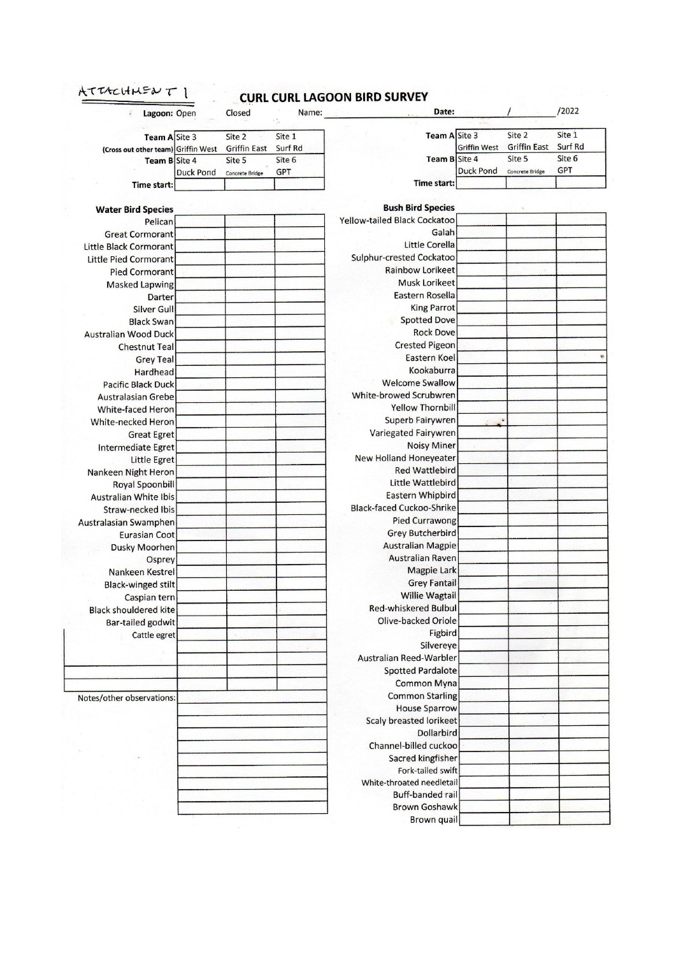| Lagoon: Open                        |                  | Closed              | Name:   | Date:                               |                     |                     | /2022      |
|-------------------------------------|------------------|---------------------|---------|-------------------------------------|---------------------|---------------------|------------|
| Team A Site 3                       |                  | Site 2              | Site 1  | Team A Site 3                       |                     | Site 2              | Site 1     |
| (Cross out other team) Griffin West |                  | <b>Griffin East</b> | Surf Rd |                                     | <b>Griffin West</b> | <b>Griffin East</b> | Surf Rd    |
| Team B Site 4                       |                  | Site 5              | Site 6  | Team B Site 4                       |                     | Site 5              | Site 6     |
|                                     | <b>Duck Pond</b> | Concrete Bridge     | GPT     |                                     | <b>Duck Pond</b>    | Concrete Bridge     | <b>GPT</b> |
| Time start:                         |                  |                     |         | Time start:                         |                     |                     |            |
| <b>Water Bird Species</b>           |                  |                     |         | <b>Bush Bird Species</b>            |                     |                     |            |
| Pelican                             |                  |                     |         | <b>Yellow-tailed Black Cockatoo</b> |                     |                     |            |
| <b>Great Cormorant</b>              |                  |                     |         | Galah                               |                     |                     |            |
| Little Black Cormorant              |                  |                     |         | Little Corella                      |                     |                     |            |
| <b>Little Pied Cormorant</b>        |                  |                     |         | Sulphur-crested Cockatoo            |                     |                     |            |
| <b>Pied Cormorant</b>               |                  |                     |         | <b>Rainbow Lorikeet</b>             |                     |                     |            |
| <b>Masked Lapwing</b>               |                  |                     |         | <b>Musk Lorikeet</b>                |                     |                     |            |
| Darter                              |                  |                     |         | <b>Eastern Rosella</b>              |                     |                     |            |
| <b>Silver Gull</b>                  |                  |                     |         | <b>King Parrot</b>                  |                     |                     |            |
| <b>Black Swan</b>                   |                  |                     |         | <b>Spotted Dove</b>                 |                     |                     |            |
| <b>Australian Wood Duck</b>         |                  |                     |         | <b>Rock Dove</b>                    |                     |                     |            |
| <b>Chestnut Teal</b>                |                  |                     |         | <b>Crested Pigeon</b>               |                     |                     |            |
| <b>Grey Teal</b>                    |                  |                     |         | <b>Eastern Koel</b>                 |                     |                     |            |
| Hardhead                            |                  |                     |         | Kookaburra                          |                     |                     |            |
| <b>Pacific Black Duck</b>           |                  |                     |         | <b>Welcome Swallow</b>              |                     |                     |            |
| <b>Australasian Grebe</b>           |                  |                     |         | White-browed Scrubwren              |                     |                     |            |
| White-faced Heron                   |                  |                     |         | <b>Yellow Thornbill</b>             |                     |                     |            |
| White-necked Heron                  |                  |                     |         | Superb Fairywren                    |                     |                     |            |
| <b>Great Egret</b>                  |                  |                     |         | Variegated Fairywren                |                     |                     |            |
| <b>Intermediate Egret</b>           |                  |                     |         | <b>Noisy Miner</b>                  |                     |                     |            |
| Little Egret                        |                  |                     |         | <b>New Holland Honeyeater</b>       |                     |                     |            |
| Nankeen Night Heron                 |                  |                     |         | <b>Red Wattlebird</b>               |                     |                     |            |
| <b>Royal Spoonbill</b>              |                  |                     |         | <b>Little Wattlebird</b>            |                     |                     |            |
| <b>Australian White Ibis</b>        |                  |                     |         | <b>Eastern Whipbird</b>             |                     |                     |            |
| Straw-necked Ibis                   |                  |                     |         | <b>Black-faced Cuckoo-Shrike</b>    |                     |                     |            |
| Australasian Swamphen               |                  |                     |         | <b>Pied Currawong</b>               |                     |                     |            |
| <b>Eurasian Coot</b>                |                  |                     |         | <b>Grey Butcherbird</b>             |                     |                     |            |
| <b>Dusky Moorhen</b>                |                  |                     |         | <b>Australian Magpie</b>            |                     |                     |            |
| Osprey                              |                  |                     |         | <b>Australian Raven</b>             |                     |                     |            |
| Nankeen Kestrel                     |                  |                     |         | <b>Magpie Lark</b>                  |                     |                     |            |
| <b>Black-winged stilt</b>           |                  |                     |         | <b>Grey Fantail</b>                 |                     |                     |            |
| Caspian tern                        |                  |                     |         | <b>Willie Wagtail</b>               |                     |                     |            |
| <b>Black shouldered kite</b>        |                  |                     |         | <b>Red-whiskered Bulbul</b>         |                     |                     |            |
| Bar-tailed godwit                   |                  |                     |         | Olive-backed Oriole                 |                     |                     |            |
| Cattle egret                        |                  |                     |         | Figbird                             |                     |                     |            |
|                                     |                  |                     |         | Silvereye                           |                     |                     |            |
|                                     |                  |                     |         | Australian Reed-Warbler             |                     |                     |            |
|                                     |                  |                     |         | <b>Spotted Pardalote</b>            |                     |                     |            |
|                                     |                  |                     |         | <b>Common Myna</b>                  |                     |                     |            |
| Notes/other observations:           |                  |                     |         | <b>Common Starling</b>              |                     |                     |            |
|                                     |                  |                     |         | <b>House Sparrow</b>                |                     |                     |            |
|                                     |                  |                     |         | <b>Scaly breasted lorikeet</b>      |                     |                     |            |
|                                     |                  |                     |         | Dollarbird                          |                     |                     |            |
|                                     |                  |                     |         | Channel-billed cuckoo               |                     |                     |            |
|                                     |                  |                     |         | Sacred kingfisher                   |                     |                     |            |
|                                     |                  |                     |         | Fork-tailed swift                   |                     |                     |            |
|                                     |                  |                     |         | White-throated needletail           |                     |                     |            |
|                                     |                  |                     |         | <b>Buff-banded rail</b>             |                     |                     |            |
|                                     |                  |                     |         | <b>Brown Goshawk</b>                |                     |                     |            |
|                                     |                  |                     |         | <b>Brown</b> quail                  |                     |                     |            |